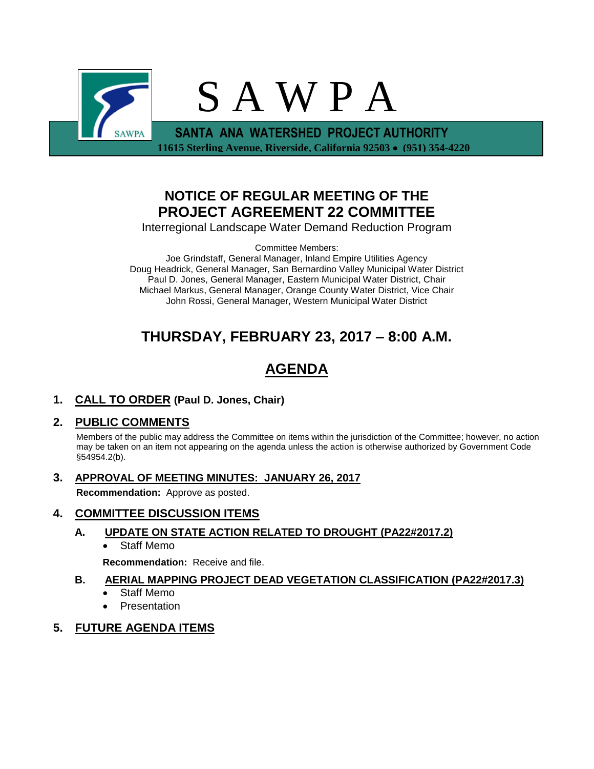

## **NOTICE OF REGULAR MEETING OF THE PROJECT AGREEMENT 22 COMMITTEE**

Interregional Landscape Water Demand Reduction Program

Committee Members:

Joe Grindstaff, General Manager, Inland Empire Utilities Agency Doug Headrick, General Manager, San Bernardino Valley Municipal Water District Paul D. Jones, General Manager, Eastern Municipal Water District, Chair Michael Markus, General Manager, Orange County Water District, Vice Chair John Rossi, General Manager, Western Municipal Water District

## **THURSDAY, FEBRUARY 23, 2017 – 8:00 A.M.**

# **AGENDA**

**1. CALL TO ORDER (Paul D. Jones, Chair)** 

## **2. PUBLIC COMMENTS**

Members of the public may address the Committee on items within the jurisdiction of the Committee; however, no action may be taken on an item not appearing on the agenda unless the action is otherwise authorized by Government Code §54954.2(b).

**3. APPROVAL OF MEETING MINUTES: JANUARY 26, 2017**

**Recommendation:** Approve as posted.

### **4. COMMITTEE DISCUSSION ITEMS**

### **A. UPDATE ON STATE ACTION RELATED TO DROUGHT (PA22#2017.2)**

• Staff Memo

**Recommendation:** Receive and file.

### **B. AERIAL MAPPING PROJECT DEAD VEGETATION CLASSIFICATION (PA22#2017.3)**

- Staff Memo
- **Presentation**

### **5. FUTURE AGENDA ITEMS**